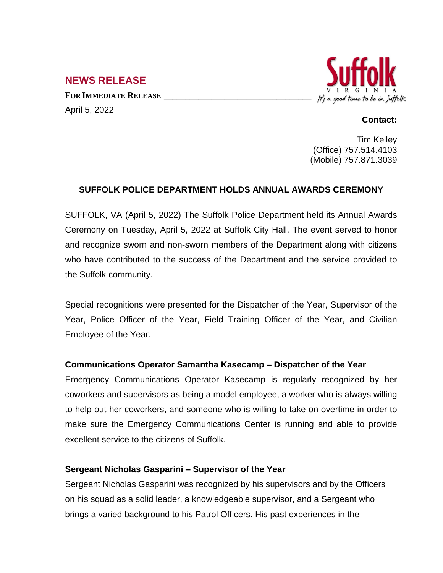# **NEWS RELEASE**

**FOR IMMEDIATE RELEASE \_\_\_\_\_\_\_\_\_\_\_\_\_\_\_\_\_\_\_\_\_\_\_\_\_\_\_\_\_\_\_\_\_\_** April 5, 2022



#### **Contact:**

Tim Kelley (Office) 757.514.4103 (Mobile) 757.871.3039

## **SUFFOLK POLICE DEPARTMENT HOLDS ANNUAL AWARDS CEREMONY**

SUFFOLK, VA (April 5, 2022) The Suffolk Police Department held its Annual Awards Ceremony on Tuesday, April 5, 2022 at Suffolk City Hall. The event served to honor and recognize sworn and non-sworn members of the Department along with citizens who have contributed to the success of the Department and the service provided to the Suffolk community.

Special recognitions were presented for the Dispatcher of the Year, Supervisor of the Year, Police Officer of the Year, Field Training Officer of the Year, and Civilian Employee of the Year.

#### **Communications Operator Samantha Kasecamp – Dispatcher of the Year**

Emergency Communications Operator Kasecamp is regularly recognized by her coworkers and supervisors as being a model employee, a worker who is always willing to help out her coworkers, and someone who is willing to take on overtime in order to make sure the Emergency Communications Center is running and able to provide excellent service to the citizens of Suffolk.

#### **Sergeant Nicholas Gasparini – Supervisor of the Year**

Sergeant Nicholas Gasparini was recognized by his supervisors and by the Officers on his squad as a solid leader, a knowledgeable supervisor, and a Sergeant who brings a varied background to his Patrol Officers. His past experiences in the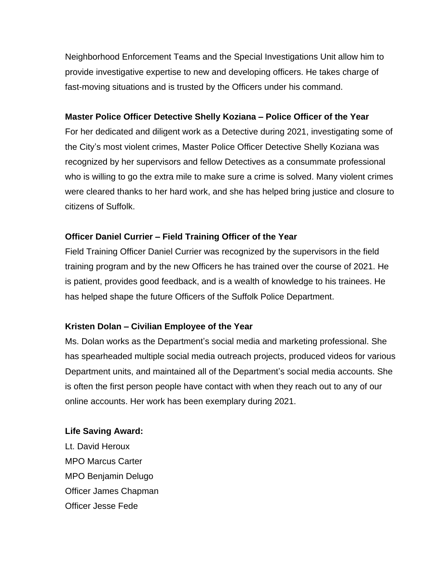Neighborhood Enforcement Teams and the Special Investigations Unit allow him to provide investigative expertise to new and developing officers. He takes charge of fast-moving situations and is trusted by the Officers under his command.

## **Master Police Officer Detective Shelly Koziana – Police Officer of the Year**

For her dedicated and diligent work as a Detective during 2021, investigating some of the City's most violent crimes, Master Police Officer Detective Shelly Koziana was recognized by her supervisors and fellow Detectives as a consummate professional who is willing to go the extra mile to make sure a crime is solved. Many violent crimes were cleared thanks to her hard work, and she has helped bring justice and closure to citizens of Suffolk.

## **Officer Daniel Currier – Field Training Officer of the Year**

Field Training Officer Daniel Currier was recognized by the supervisors in the field training program and by the new Officers he has trained over the course of 2021. He is patient, provides good feedback, and is a wealth of knowledge to his trainees. He has helped shape the future Officers of the Suffolk Police Department.

## **Kristen Dolan – Civilian Employee of the Year**

Ms. Dolan works as the Department's social media and marketing professional. She has spearheaded multiple social media outreach projects, produced videos for various Department units, and maintained all of the Department's social media accounts. She is often the first person people have contact with when they reach out to any of our online accounts. Her work has been exemplary during 2021.

#### **Life Saving Award:**

Lt. David Heroux MPO Marcus Carter MPO Benjamin Delugo Officer James Chapman Officer Jesse Fede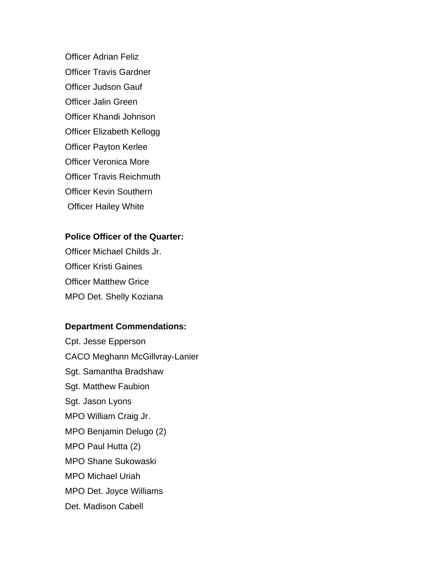Officer Adrian Feliz Officer Travis Gardner Officer Judson Gauf Officer Jalin Green Officer Khandi Johnson Officer Elizabeth Kellogg Officer Payton Kerlee Officer Veronica More Officer Travis Reichmuth Officer Kevin Southern Officer Hailey White

#### **Police Officer of the Quarter:**

Officer Michael Childs Jr. Officer Kristi Gaines Officer Matthew Grice MPO Det. Shelly Koziana

## **Department Commendations:**

Cpt. Jesse Epperson CACO Meghann McGillvray-Lanier Sgt. Samantha Bradshaw Sgt. Matthew Faubion Sgt. Jason Lyons MPO William Craig Jr. MPO Benjamin Delugo (2) MPO Paul Hutta (2) MPO Shane Sukowaski MPO Michael Uriah MPO Det. Joyce Williams Det. Madison Cabell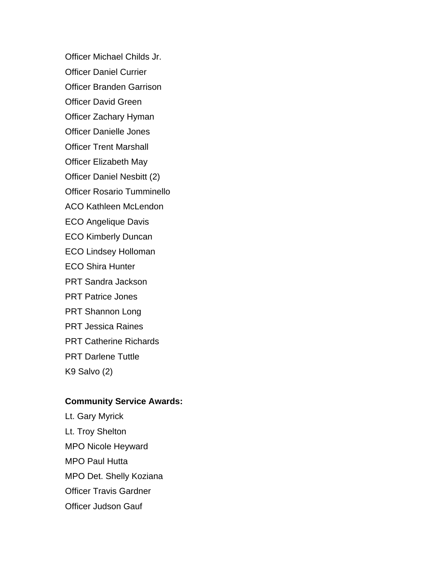Officer Michael Childs Jr.

Officer Daniel Currier

Officer Branden Garrison

Officer David Green

Officer Zachary Hyman

Officer Danielle Jones

Officer Trent Marshall

Officer Elizabeth May

Officer Daniel Nesbitt (2)

Officer Rosario Tumminello

ACO Kathleen McLendon

ECO Angelique Davis

ECO Kimberly Duncan

ECO Lindsey Holloman

ECO Shira Hunter

PRT Sandra Jackson

PRT Patrice Jones

PRT Shannon Long

PRT Jessica Raines

PRT Catherine Richards

PRT Darlene Tuttle

K9 Salvo (2)

## **Community Service Awards:**

Lt. Gary Myrick Lt. Troy Shelton MPO Nicole Heyward MPO Paul Hutta MPO Det. Shelly Koziana Officer Travis Gardner Officer Judson Gauf